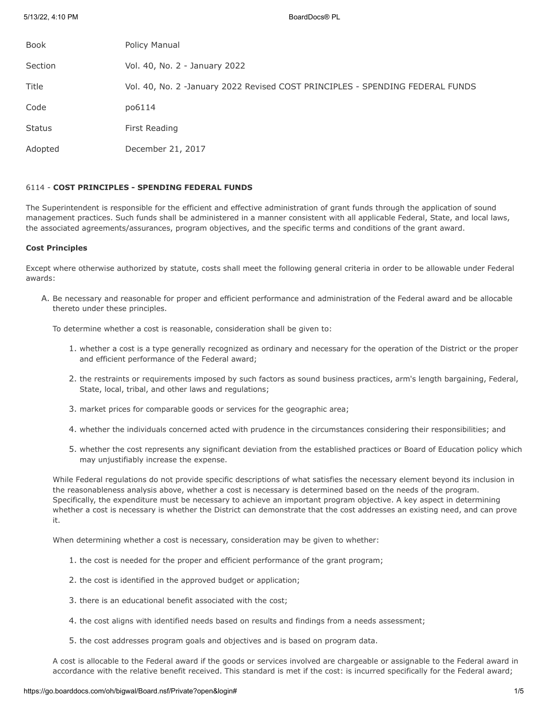| <b>Book</b>   | Policy Manual                                                                 |
|---------------|-------------------------------------------------------------------------------|
| Section       | Vol. 40, No. 2 - January 2022                                                 |
| Title         | Vol. 40, No. 2 -January 2022 Revised COST PRINCIPLES - SPENDING FEDERAL FUNDS |
| Code          | po6114                                                                        |
| <b>Status</b> | First Reading                                                                 |
| Adopted       | December 21, 2017                                                             |

# 6114 - **COST PRINCIPLES - SPENDING FEDERAL FUNDS**

The Superintendent is responsible for the efficient and effective administration of grant funds through the application of sound management practices. Such funds shall be administered in a manner consistent with all applicable Federal, State, and local laws, the associated agreements/assurances, program objectives, and the specific terms and conditions of the grant award.

### **Cost Principles**

Except where otherwise authorized by statute, costs shall meet the following general criteria in order to be allowable under Federal awards:

A. Be necessary and reasonable for proper and efficient performance and administration of the Federal award and be allocable thereto under these principles.

To determine whether a cost is reasonable, consideration shall be given to:

- 1. whether a cost is a type generally recognized as ordinary and necessary for the operation of the District or the proper and efficient performance of the Federal award;
- 2. the restraints or requirements imposed by such factors as sound business practices, arm's length bargaining, Federal, State, local, tribal, and other laws and regulations;
- 3. market prices for comparable goods or services for the geographic area;
- 4. whether the individuals concerned acted with prudence in the circumstances considering their responsibilities; and
- 5. whether the cost represents any significant deviation from the established practices or Board of Education policy which may unjustifiably increase the expense.

While Federal regulations do not provide specific descriptions of what satisfies the necessary element beyond its inclusion in the reasonableness analysis above, whether a cost is necessary is determined based on the needs of the program. Specifically, the expenditure must be necessary to achieve an important program objective. A key aspect in determining whether a cost is necessary is whether the District can demonstrate that the cost addresses an existing need, and can prove it.

When determining whether a cost is necessary, consideration may be given to whether:

- 1. the cost is needed for the proper and efficient performance of the grant program;
- 2. the cost is identified in the approved budget or application;
- 3. there is an educational benefit associated with the cost;
- 4. the cost aligns with identified needs based on results and findings from a needs assessment;
- 5. the cost addresses program goals and objectives and is based on program data.

A cost is allocable to the Federal award if the goods or services involved are chargeable or assignable to the Federal award in accordance with the relative benefit received. This standard is met if the cost: is incurred specifically for the Federal award;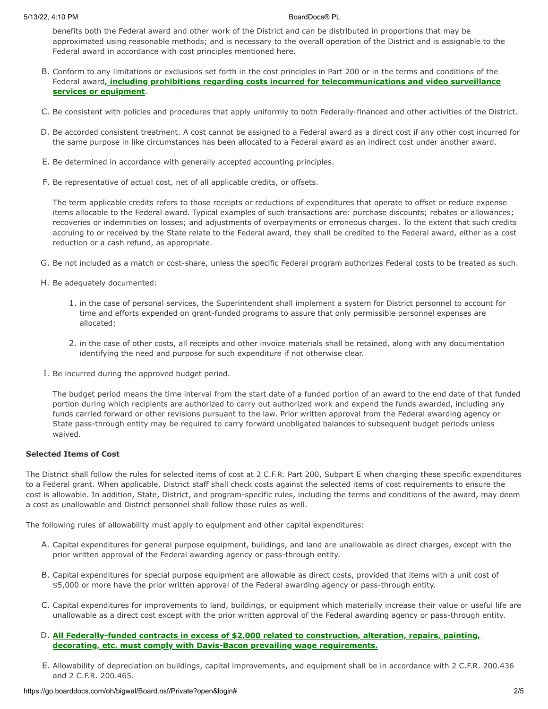benefits both the Federal award and other work of the District and can be distributed in proportions that may be approximated using reasonable methods; and is necessary to the overall operation of the District and is assignable to the Federal award in accordance with cost principles mentioned here.

- B. Conform to any limitations or exclusions set forth in the cost principles in Part 200 or in the terms and conditions of the Federal award**, including prohibitions regarding costs incurred for telecommunications and video surveillance services or equipment**.
- C. Be consistent with policies and procedures that apply uniformly to both Federally-financed and other activities of the District.
- D. Be accorded consistent treatment. A cost cannot be assigned to a Federal award as a direct cost if any other cost incurred for the same purpose in like circumstances has been allocated to a Federal award as an indirect cost under another award.
- E. Be determined in accordance with generally accepted accounting principles.
- F. Be representative of actual cost, net of all applicable credits, or offsets.

The term applicable credits refers to those receipts or reductions of expenditures that operate to offset or reduce expense items allocable to the Federal award. Typical examples of such transactions are: purchase discounts; rebates or allowances; recoveries or indemnities on losses; and adjustments of overpayments or erroneous charges. To the extent that such credits accruing to or received by the State relate to the Federal award, they shall be credited to the Federal award, either as a cost reduction or a cash refund, as appropriate.

- G. Be not included as a match or cost-share, unless the specific Federal program authorizes Federal costs to be treated as such.
- H. Be adequately documented:
	- 1. in the case of personal services, the Superintendent shall implement a system for District personnel to account for time and efforts expended on grant-funded programs to assure that only permissible personnel expenses are allocated;
	- 2. in the case of other costs, all receipts and other invoice materials shall be retained, along with any documentation identifying the need and purpose for such expenditure if not otherwise clear.
- I. Be incurred during the approved budget period.

The budget period means the time interval from the start date of a funded portion of an award to the end date of that funded portion during which recipients are authorized to carry out authorized work and expend the funds awarded, including any funds carried forward or other revisions pursuant to the law. Prior written approval from the Federal awarding agency or State pass-through entity may be required to carry forward unobligated balances to subsequent budget periods unless waived.

## **Selected Items of Cost**

The District shall follow the rules for selected items of cost at 2 C.F.R. Part 200, Subpart E when charging these specific expenditures to a Federal grant. When applicable, District staff shall check costs against the selected items of cost requirements to ensure the cost is allowable. In addition, State, District, and program-specific rules, including the terms and conditions of the award, may deem a cost as unallowable and District personnel shall follow those rules as well.

The following rules of allowability must apply to equipment and other capital expenditures:

- A. Capital expenditures for general purpose equipment, buildings, and land are unallowable as direct charges, except with the prior written approval of the Federal awarding agency or pass-through entity.
- B. Capital expenditures for special purpose equipment are allowable as direct costs, provided that items with a unit cost of \$5,000 or more have the prior written approval of the Federal awarding agency or pass-through entity.
- C. Capital expenditures for improvements to land, buildings, or equipment which materially increase their value or useful life are unallowable as a direct cost except with the prior written approval of the Federal awarding agency or pass-through entity.
- D. **All Federally-funded contracts in excess of \$2,000 related to construction, alteration, repairs, painting, decorating, etc. must comply with Davis-Bacon prevailing wage requirements.**
- E. Allowability of depreciation on buildings, capital improvements, and equipment shall be in accordance with 2 C.F.R. 200.436 and 2 C.F.R. 200.465.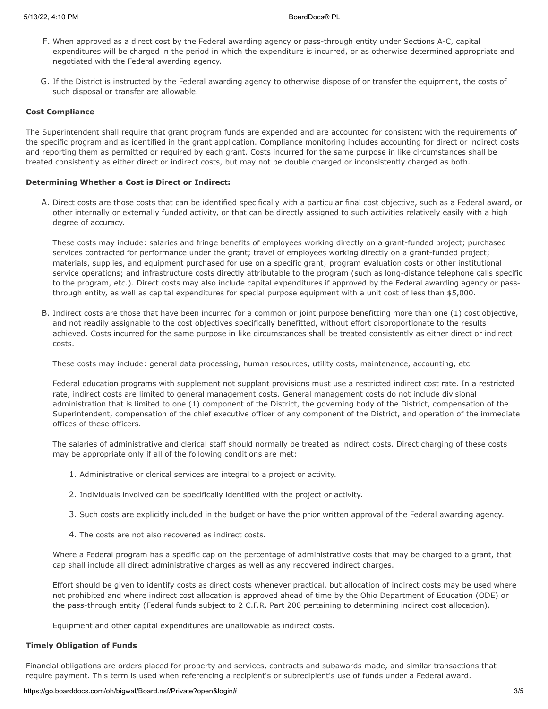- F. When approved as a direct cost by the Federal awarding agency or pass-through entity under Sections A-C, capital expenditures will be charged in the period in which the expenditure is incurred, or as otherwise determined appropriate and negotiated with the Federal awarding agency.
- G. If the District is instructed by the Federal awarding agency to otherwise dispose of or transfer the equipment, the costs of such disposal or transfer are allowable.

## **Cost Compliance**

The Superintendent shall require that grant program funds are expended and are accounted for consistent with the requirements of the specific program and as identified in the grant application. Compliance monitoring includes accounting for direct or indirect costs and reporting them as permitted or required by each grant. Costs incurred for the same purpose in like circumstances shall be treated consistently as either direct or indirect costs, but may not be double charged or inconsistently charged as both.

### **Determining Whether a Cost is Direct or Indirect:**

A. Direct costs are those costs that can be identified specifically with a particular final cost objective, such as a Federal award, or other internally or externally funded activity, or that can be directly assigned to such activities relatively easily with a high degree of accuracy.

These costs may include: salaries and fringe benefits of employees working directly on a grant-funded project; purchased services contracted for performance under the grant; travel of employees working directly on a grant-funded project; materials, supplies, and equipment purchased for use on a specific grant; program evaluation costs or other institutional service operations; and infrastructure costs directly attributable to the program (such as long-distance telephone calls specific to the program, etc.). Direct costs may also include capital expenditures if approved by the Federal awarding agency or passthrough entity, as well as capital expenditures for special purpose equipment with a unit cost of less than \$5,000.

B. Indirect costs are those that have been incurred for a common or joint purpose benefitting more than one (1) cost objective, and not readily assignable to the cost objectives specifically benefitted, without effort disproportionate to the results achieved. Costs incurred for the same purpose in like circumstances shall be treated consistently as either direct or indirect costs.

These costs may include: general data processing, human resources, utility costs, maintenance, accounting, etc.

Federal education programs with supplement not supplant provisions must use a restricted indirect cost rate. In a restricted rate, indirect costs are limited to general management costs. General management costs do not include divisional administration that is limited to one (1) component of the District, the governing body of the District, compensation of the Superintendent, compensation of the chief executive officer of any component of the District, and operation of the immediate offices of these officers.

The salaries of administrative and clerical staff should normally be treated as indirect costs. Direct charging of these costs may be appropriate only if all of the following conditions are met:

- 1. Administrative or clerical services are integral to a project or activity.
- 2. Individuals involved can be specifically identified with the project or activity.
- 3. Such costs are explicitly included in the budget or have the prior written approval of the Federal awarding agency.
- 4. The costs are not also recovered as indirect costs.

Where a Federal program has a specific cap on the percentage of administrative costs that may be charged to a grant, that cap shall include all direct administrative charges as well as any recovered indirect charges.

Effort should be given to identify costs as direct costs whenever practical, but allocation of indirect costs may be used where not prohibited and where indirect cost allocation is approved ahead of time by the Ohio Department of Education (ODE) or the pass-through entity (Federal funds subject to 2 C.F.R. Part 200 pertaining to determining indirect cost allocation).

Equipment and other capital expenditures are unallowable as indirect costs.

### **Timely Obligation of Funds**

Financial obligations are orders placed for property and services, contracts and subawards made, and similar transactions that require payment. This term is used when referencing a recipient's or subrecipient's use of funds under a Federal award.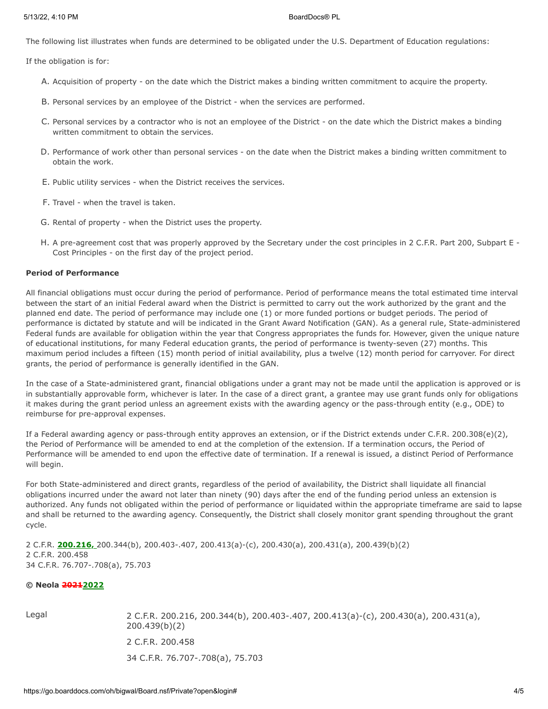The following list illustrates when funds are determined to be obligated under the U.S. Department of Education regulations:

If the obligation is for:

- A. Acquisition of property on the date which the District makes a binding written commitment to acquire the property.
- B. Personal services by an employee of the District when the services are performed.
- C. Personal services by a contractor who is not an employee of the District on the date which the District makes a binding written commitment to obtain the services.
- D. Performance of work other than personal services on the date when the District makes a binding written commitment to obtain the work.
- E. Public utility services when the District receives the services.
- F. Travel when the travel is taken.
- G. Rental of property when the District uses the property.
- H. A pre-agreement cost that was properly approved by the Secretary under the cost principles in 2 C.F.R. Part 200, Subpart E Cost Principles - on the first day of the project period.

## **Period of Performance**

All financial obligations must occur during the period of performance. Period of performance means the total estimated time interval between the start of an initial Federal award when the District is permitted to carry out the work authorized by the grant and the planned end date. The period of performance may include one (1) or more funded portions or budget periods. The period of performance is dictated by statute and will be indicated in the Grant Award Notification (GAN). As a general rule, State-administered Federal funds are available for obligation within the year that Congress appropriates the funds for. However, given the unique nature of educational institutions, for many Federal education grants, the period of performance is twenty-seven (27) months. This maximum period includes a fifteen (15) month period of initial availability, plus a twelve (12) month period for carryover. For direct grants, the period of performance is generally identified in the GAN.

In the case of a State-administered grant, financial obligations under a grant may not be made until the application is approved or is in substantially approvable form, whichever is later. In the case of a direct grant, a grantee may use grant funds only for obligations it makes during the grant period unless an agreement exists with the awarding agency or the pass-through entity (e.g., ODE) to reimburse for pre-approval expenses.

If a Federal awarding agency or pass-through entity approves an extension, or if the District extends under C.F.R. 200.308(e)(2), the Period of Performance will be amended to end at the completion of the extension. If a termination occurs, the Period of Performance will be amended to end upon the effective date of termination. If a renewal is issued, a distinct Period of Performance will begin.

For both State-administered and direct grants, regardless of the period of availability, the District shall liquidate all financial obligations incurred under the award not later than ninety (90) days after the end of the funding period unless an extension is authorized. Any funds not obligated within the period of performance or liquidated within the appropriate timeframe are said to lapse and shall be returned to the awarding agency. Consequently, the District shall closely monitor grant spending throughout the grant cycle.

2 C.F.R. **200.216,** 200.344(b), 200.403-.407, 200.413(a)-(c), 200.430(a), 200.431(a), 200.439(b)(2) 2 C.F.R. 200.458 34 C.F.R. 76.707-.708(a), 75.703

## **© Neola 20212022**

Legal 2 C.F.R. 200.216, 200.344(b), 200.403-.407, 200.413(a)-(c), 200.430(a), 200.431(a), 200.439(b)(2) 2 C.F.R. 200.458 34 C.F.R. 76.707-.708(a), 75.703